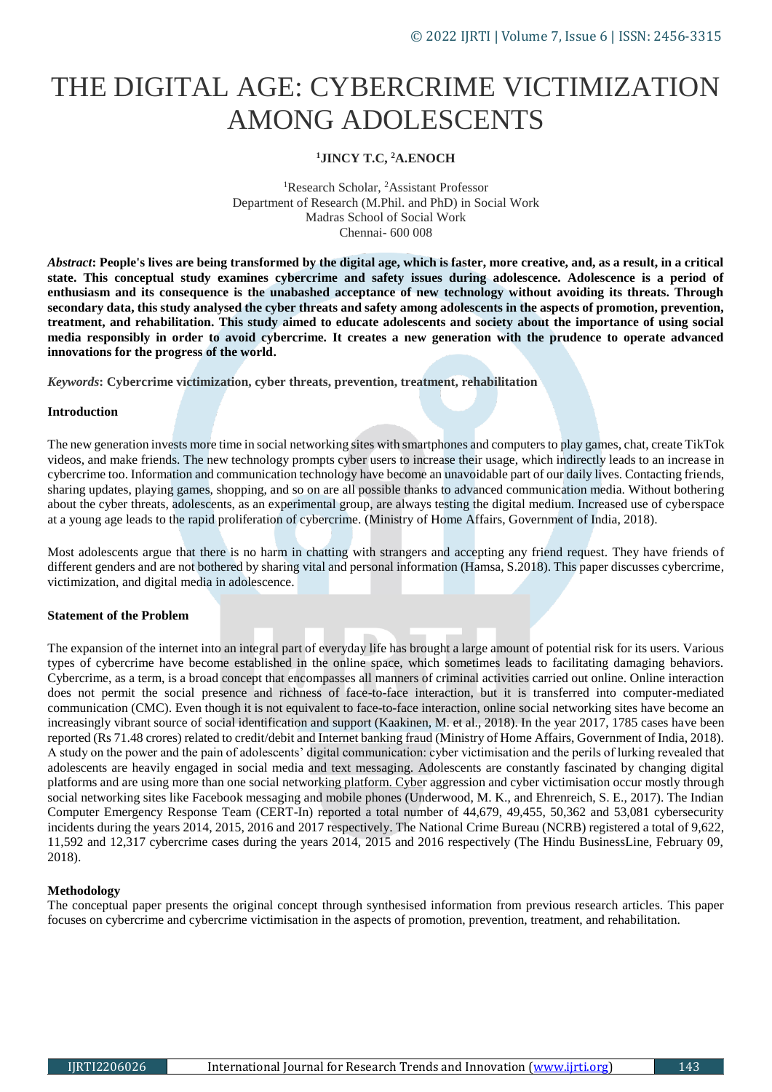# THE DIGITAL AGE: CYBERCRIME VICTIMIZATION AMONG ADOLESCENTS

## **<sup>1</sup>JINCY T.C, <sup>2</sup>A.ENOCH**

<sup>1</sup>Research Scholar, <sup>2</sup>Assistant Professor Department of Research (M.Phil. and PhD) in Social Work Madras School of Social Work Chennai- 600 008

*Abstract***: People's lives are being transformed by the digital age, which is faster, more creative, and, as a result, in a critical state. This conceptual study examines cybercrime and safety issues during adolescence. Adolescence is a period of**  enthusiasm and its consequence is the unabashed acceptance of new technology without avoiding its threats. Through **secondary data, this study analysed the cyber threats and safety among adolescents in the aspects of promotion, prevention, treatment, and rehabilitation. This study aimed to educate adolescents and society about the importance of using social media responsibly in order to avoid cybercrime. It creates a new generation with the prudence to operate advanced innovations for the progress of the world.**

*Keywords***: Cybercrime victimization, cyber threats, prevention, treatment, rehabilitation**

#### **Introduction**

The new generation invests more time in social networking sites with smartphones and computers to play games, chat, create TikTok videos, and make friends. The new technology prompts cyber users to increase their usage, which indirectly leads to an increase in cybercrime too. Information and communication technology have become an unavoidable part of our daily lives. Contacting friends, sharing updates, playing games, shopping, and so on are all possible thanks to advanced communication media. Without bothering about the cyber threats, adolescents, as an experimental group, are always testing the digital medium. Increased use of cyberspace at a young age leads to the rapid proliferation of cybercrime. (Ministry of Home Affairs, Government of India, 2018).

Most adolescents argue that there is no harm in chatting with strangers and accepting any friend request. They have friends of different genders and are not bothered by sharing vital and personal information (Hamsa, S.2018). This paper discusses cybercrime, victimization, and digital media in adolescence.

## **Statement of the Problem**

The expansion of the internet into an integral part of everyday life has brought a large amount of potential risk for its users. Various types of cybercrime have become established in the online space, which sometimes leads to facilitating damaging behaviors. Cybercrime, as a term, is a broad concept that encompasses all manners of criminal activities carried out online. Online interaction does not permit the social presence and richness of face-to-face interaction, but it is transferred into computer-mediated communication (CMC). Even though it is not equivalent to face-to-face interaction, online social networking sites have become an increasingly vibrant source of social identification and support (Kaakinen, M. et al., 2018). In the year 2017, 1785 cases have been reported (Rs 71.48 crores) related to credit/debit and Internet banking fraud (Ministry of Home Affairs, Government of India, 2018). A study on the power and the pain of adolescents' digital communication: cyber victimisation and the perils of lurking revealed that adolescents are heavily engaged in social media and text messaging. Adolescents are constantly fascinated by changing digital platforms and are using more than one social networking platform. Cyber aggression and cyber victimisation occur mostly through social networking sites like Facebook messaging and mobile phones (Underwood, M. K., and Ehrenreich, S. E., 2017). The Indian Computer Emergency Response Team (CERT-In) reported a total number of 44,679, 49,455, 50,362 and 53,081 cybersecurity incidents during the years 2014, 2015, 2016 and 2017 respectively. The National Crime Bureau (NCRB) registered a total of 9,622, 11,592 and 12,317 cybercrime cases during the years 2014, 2015 and 2016 respectively (The Hindu BusinessLine, February 09, 2018).

## **Methodology**

The conceptual paper presents the original concept through synthesised information from previous research articles. This paper focuses on cybercrime and cybercrime victimisation in the aspects of promotion, prevention, treatment, and rehabilitation.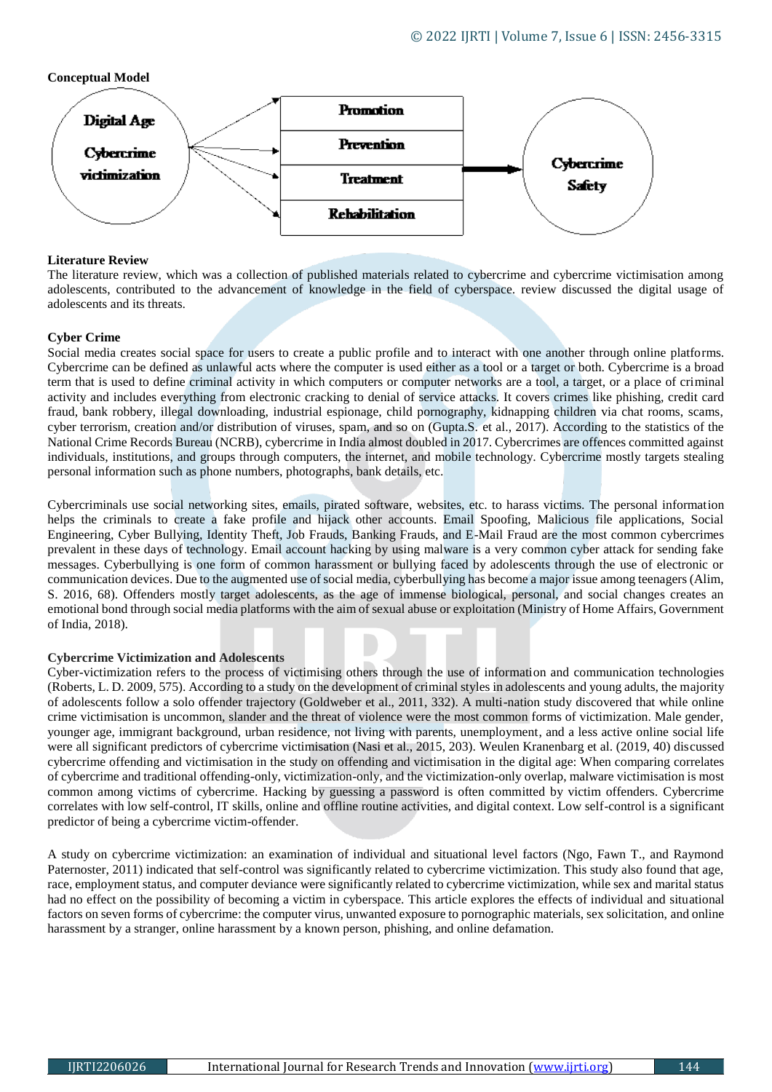## **Conceptual Model**



## **Literature Review**

The literature review, which was a collection of published materials related to cybercrime and cybercrime victimisation among adolescents, contributed to the advancement of knowledge in the field of cyberspace. review discussed the digital usage of adolescents and its threats.

## **Cyber Crime**

Social media creates social space for users to create a public profile and to interact with one another through online platforms. Cybercrime can be defined as unlawful acts where the computer is used either as a tool or a target or both. Cybercrime is a broad term that is used to define criminal activity in which computers or computer networks are a tool, a target, or a place of criminal activity and includes everything from electronic cracking to denial of service attacks. It covers crimes like phishing, credit card fraud, bank robbery, illegal downloading, industrial espionage, child pornography, kidnapping children via chat rooms, scams, cyber terrorism, creation and/or distribution of viruses, spam, and so on (Gupta.S. et al., 2017). According to the statistics of the National Crime Records Bureau (NCRB), cybercrime in India almost doubled in 2017. Cybercrimes are offences committed against individuals, institutions, and groups through computers, the internet, and mobile technology. Cybercrime mostly targets stealing personal information such as phone numbers, photographs, bank details, etc.

Cybercriminals use social networking sites, emails, pirated software, websites, etc. to harass victims. The personal information helps the criminals to create a fake profile and hijack other accounts. Email Spoofing, Malicious file applications, Social Engineering, Cyber Bullying, Identity Theft, Job Frauds, Banking Frauds, and E-Mail Fraud are the most common cybercrimes prevalent in these days of technology. Email account hacking by using malware is a very common cyber attack for sending fake messages. Cyberbullying is one form of common harassment or bullying faced by adolescents through the use of electronic or communication devices. Due to the augmented use of social media, cyberbullying has become a major issue among teenagers (Alim, S. 2016, 68). Offenders mostly target adolescents, as the age of immense biological, personal, and social changes creates an emotional bond through social media platforms with the aim of sexual abuse or exploitation (Ministry of Home Affairs, Government of India, 2018).

## **Cybercrime Victimization and Adolescents**

Cyber-victimization refers to the process of victimising others through the use of information and communication technologies (Roberts, L. D. 2009, 575). According to a study on the development of criminal styles in adolescents and young adults, the majority of adolescents follow a solo offender trajectory (Goldweber et al., 2011, 332). A multi-nation study discovered that while online crime victimisation is uncommon, slander and the threat of violence were the most common forms of victimization. Male gender, younger age, immigrant background, urban residence, not living with parents, unemployment, and a less active online social life were all significant predictors of cybercrime victimisation (Nasi et al., 2015, 203). Weulen Kranenbarg et al. (2019, 40) discussed cybercrime offending and victimisation in the study on offending and victimisation in the digital age: When comparing correlates of cybercrime and traditional offending-only, victimization-only, and the victimization-only overlap, malware victimisation is most common among victims of cybercrime. Hacking by guessing a password is often committed by victim offenders. Cybercrime correlates with low self-control, IT skills, online and offline routine activities, and digital context. Low self-control is a significant predictor of being a cybercrime victim-offender.

A study on cybercrime victimization: an examination of individual and situational level factors (Ngo, Fawn T., and Raymond Paternoster, 2011) indicated that self-control was significantly related to cybercrime victimization. This study also found that age, race, employment status, and computer deviance were significantly related to cybercrime victimization, while sex and marital status had no effect on the possibility of becoming a victim in cyberspace. This article explores the effects of individual and situational factors on seven forms of cybercrime: the computer virus, unwanted exposure to pornographic materials, sex solicitation, and online harassment by a stranger, online harassment by a known person, phishing, and online defamation.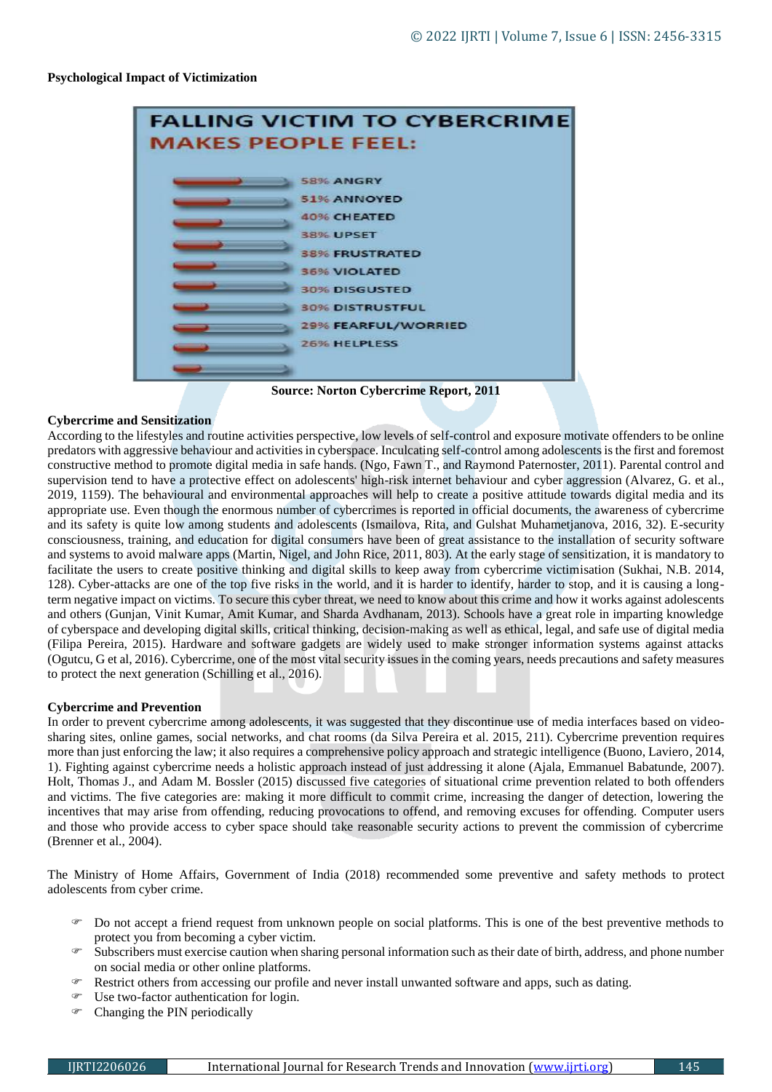#### **Psychological Impact of Victimization**



**Source: Norton Cybercrime Report, 2011**

#### **Cybercrime and Sensitization**

According to the lifestyles and routine activities perspective, low levels of self-control and exposure motivate offenders to be online predators with aggressive behaviour and activities in cyberspace. Inculcating self-control among adolescents is the first and foremost constructive method to promote digital media in safe hands. (Ngo, Fawn T., and Raymond Paternoster, 2011). Parental control and supervision tend to have a protective effect on adolescents' high-risk internet behaviour and cyber aggression (Alvarez, G. et al., 2019, 1159). The behavioural and environmental approaches will help to create a positive attitude towards digital media and its appropriate use. Even though the enormous number of cybercrimes is reported in official documents, the awareness of cybercrime and its safety is quite low among students and adolescents (Ismailova, Rita, and Gulshat Muhametjanova, 2016, 32). E-security consciousness, training, and education for digital consumers have been of great assistance to the installation of security software and systems to avoid malware apps (Martin, Nigel, and John Rice, 2011, 803). At the early stage of sensitization, it is mandatory to facilitate the users to create positive thinking and digital skills to keep away from cybercrime victimisation (Sukhai, N.B. 2014, 128). Cyber-attacks are one of the top five risks in the world, and it is harder to identify, harder to stop, and it is causing a longterm negative impact on victims. To secure this cyber threat, we need to know about this crime and how it works against adolescents and others (Gunjan, Vinit Kumar, Amit Kumar, and Sharda Avdhanam, 2013). Schools have a great role in imparting knowledge of cyberspace and developing digital skills, critical thinking, decision-making as well as ethical, legal, and safe use of digital media (Filipa Pereira, 2015). Hardware and software gadgets are widely used to make stronger information systems against attacks (Ogutcu, G et al, 2016). Cybercrime, one of the most vital security issues in the coming years, needs precautions and safety measures to protect the next generation (Schilling et al., 2016).

#### **Cybercrime and Prevention**

In order to prevent cybercrime among adolescents, it was suggested that they discontinue use of media interfaces based on videosharing sites, online games, social networks, and chat rooms (da Silva Pereira et al. 2015, 211). Cybercrime prevention requires more than just enforcing the law; it also requires a comprehensive policy approach and strategic intelligence (Buono, Laviero, 2014, 1). Fighting against cybercrime needs a holistic approach instead of just addressing it alone (Ajala, Emmanuel Babatunde, 2007). Holt, Thomas J., and Adam M. Bossler (2015) discussed five categories of situational crime prevention related to both offenders and victims. The five categories are: making it more difficult to commit crime, increasing the danger of detection, lowering the incentives that may arise from offending, reducing provocations to offend, and removing excuses for offending. Computer users and those who provide access to cyber space should take reasonable security actions to prevent the commission of cybercrime (Brenner et al., 2004).

The Ministry of Home Affairs, Government of India (2018) recommended some preventive and safety methods to protect adolescents from cyber crime.

- Do not accept a friend request from unknown people on social platforms. This is one of the best preventive methods to protect you from becoming a cyber victim.
- Subscribers must exercise caution when sharing personal information such as their date of birth, address, and phone number on social media or other online platforms.
- **Restrict others from accessing our profile and never install unwanted software and apps, such as dating.**
- Use two-factor authentication for login.
- Changing the PIN periodically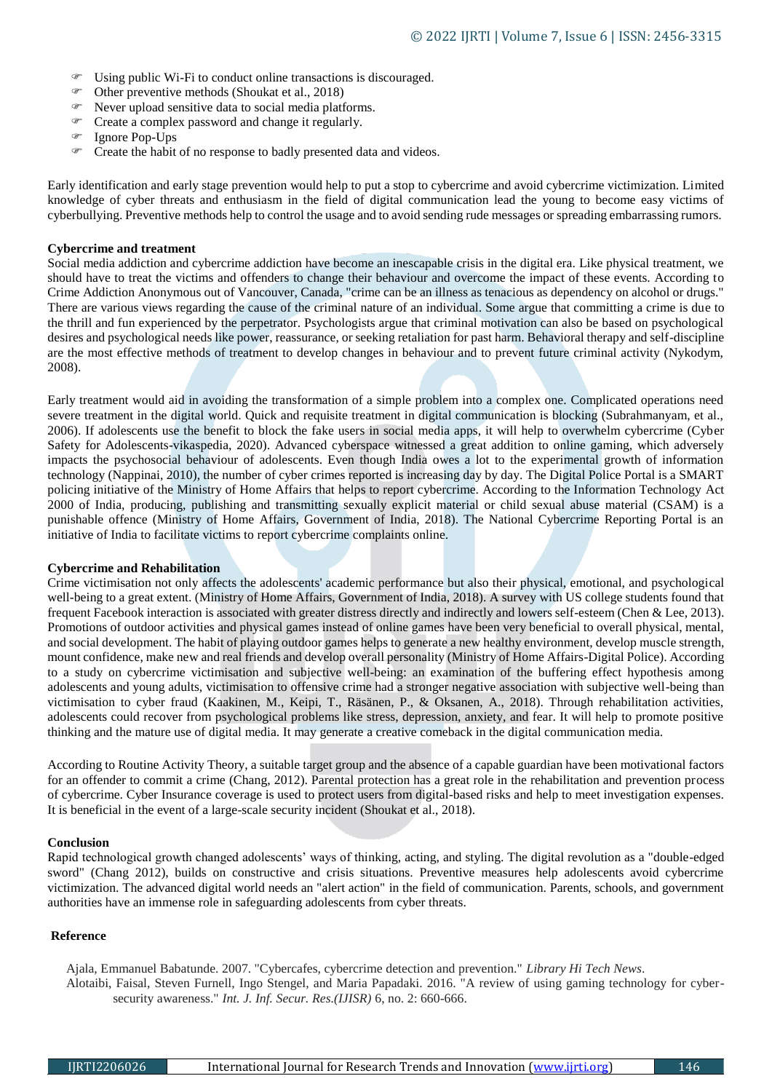- Using public Wi-Fi to conduct online transactions is discouraged.
- Other preventive methods (Shoukat et al., 2018)
- Never upload sensitive data to social media platforms.
- Create a complex password and change it regularly.
- Ignore Pop-Ups
- $\circ$  Create the habit of no response to badly presented data and videos.

Early identification and early stage prevention would help to put a stop to cybercrime and avoid cybercrime victimization. Limited knowledge of cyber threats and enthusiasm in the field of digital communication lead the young to become easy victims of cyberbullying. Preventive methods help to control the usage and to avoid sending rude messages or spreading embarrassing rumors.

#### **Cybercrime and treatment**

Social media addiction and cybercrime addiction have become an inescapable crisis in the digital era. Like physical treatment, we should have to treat the victims and offenders to change their behaviour and overcome the impact of these events. According to Crime Addiction Anonymous out of Vancouver, Canada, "crime can be an illness as tenacious as dependency on alcohol or drugs." There are various views regarding the cause of the criminal nature of an individual. Some argue that committing a crime is due to the thrill and fun experienced by the perpetrator. Psychologists argue that criminal motivation can also be based on psychological desires and psychological needs like power, reassurance, or seeking retaliation for past harm. Behavioral therapy and self-discipline are the most effective methods of treatment to develop changes in behaviour and to prevent future criminal activity (Nykodym, 2008).

Early treatment would aid in avoiding the transformation of a simple problem into a complex one. Complicated operations need severe treatment in the digital world. Quick and requisite treatment in digital communication is blocking (Subrahmanyam, et al., 2006). If adolescents use the benefit to block the fake users in social media apps, it will help to overwhelm cybercrime (Cyber Safety for Adolescents-vikaspedia, 2020). Advanced cyberspace witnessed a great addition to online gaming, which adversely impacts the psychosocial behaviour of adolescents. Even though India owes a lot to the experimental growth of information technology (Nappinai, 2010), the number of cyber crimes reported is increasing day by day. The Digital Police Portal is a SMART policing initiative of the Ministry of Home Affairs that helps to report cybercrime. According to the Information Technology Act 2000 of India, producing, publishing and transmitting sexually explicit material or child sexual abuse material (CSAM) is a punishable offence (Ministry of Home Affairs, Government of India, 2018). The National Cybercrime Reporting Portal is an initiative of India to facilitate victims to report cybercrime complaints online.

#### **Cybercrime and Rehabilitation**

Crime victimisation not only affects the adolescents' academic performance but also their physical, emotional, and psychological well-being to a great extent. (Ministry of Home Affairs, Government of India, 2018). A survey with US college students found that frequent Facebook interaction is associated with greater distress directly and indirectly and lowers self-esteem (Chen & Lee, 2013). Promotions of outdoor activities and physical games instead of online games have been very beneficial to overall physical, mental, and social development. The habit of playing outdoor games helps to generate a new healthy environment, develop muscle strength, mount confidence, make new and real friends and develop overall personality (Ministry of Home Affairs-Digital Police). According to a study on cybercrime victimisation and subjective well-being: an examination of the buffering effect hypothesis among adolescents and young adults, victimisation to offensive crime had a stronger negative association with subjective well-being than victimisation to cyber fraud (Kaakinen, M., Keipi, T., Räsänen, P., & Oksanen, A., 2018). Through rehabilitation activities, adolescents could recover from psychological problems like stress, depression, anxiety, and fear. It will help to promote positive thinking and the mature use of digital media. It may generate a creative comeback in the digital communication media.

According to Routine Activity Theory, a suitable target group and the absence of a capable guardian have been motivational factors for an offender to commit a crime (Chang, 2012). Parental protection has a great role in the rehabilitation and prevention process of cybercrime. Cyber Insurance coverage is used to protect users from digital-based risks and help to meet investigation expenses. It is beneficial in the event of a large-scale security incident (Shoukat et al., 2018).

#### **Conclusion**

Rapid technological growth changed adolescents' ways of thinking, acting, and styling. The digital revolution as a "double-edged sword" (Chang 2012), builds on constructive and crisis situations. Preventive measures help adolescents avoid cybercrime victimization. The advanced digital world needs an "alert action" in the field of communication. Parents, schools, and government authorities have an immense role in safeguarding adolescents from cyber threats.

#### **Reference**

Ajala, Emmanuel Babatunde. 2007. "Cybercafes, cybercrime detection and prevention." *Library Hi Tech News*.

Alotaibi, Faisal, Steven Furnell, Ingo Stengel, and Maria Papadaki. 2016. "A review of using gaming technology for cybersecurity awareness." *Int. J. Inf. Secur. Res.(IJISR)* 6, no. 2: 660-666.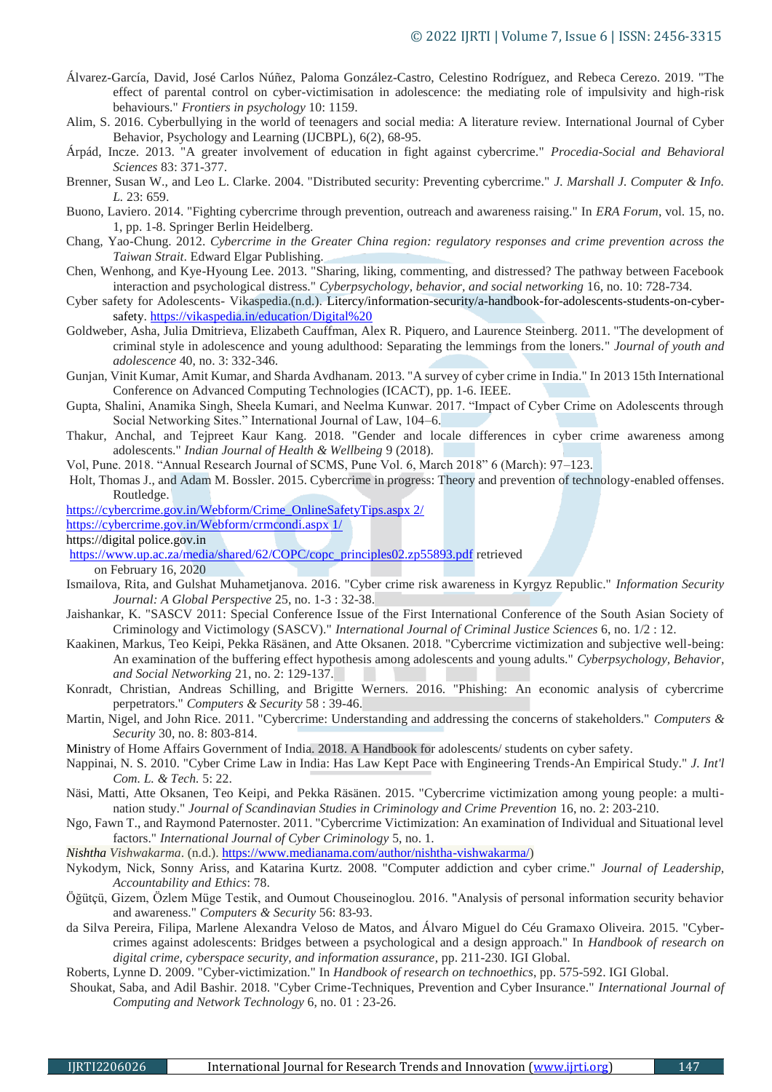- Álvarez-García, David, José Carlos Núñez, Paloma González-Castro, Celestino Rodríguez, and Rebeca Cerezo. 2019. "The effect of parental control on cyber-victimisation in adolescence: the mediating role of impulsivity and high-risk behaviours." *Frontiers in psychology* 10: 1159.
- Alim, S. 2016. Cyberbullying in the world of teenagers and social media: A literature review. International Journal of Cyber Behavior, Psychology and Learning (IJCBPL), 6(2), 68-95.
- Árpád, Incze. 2013. "A greater involvement of education in fight against cybercrime." *Procedia-Social and Behavioral Sciences* 83: 371-377.
- Brenner, Susan W., and Leo L. Clarke. 2004. "Distributed security: Preventing cybercrime." *J. Marshall J. Computer & Info. L.* 23: 659.
- Buono, Laviero. 2014. "Fighting cybercrime through prevention, outreach and awareness raising." In *ERA Forum*, vol. 15, no. 1, pp. 1-8. Springer Berlin Heidelberg.
- Chang, Yao-Chung. 2012. *Cybercrime in the Greater China region: regulatory responses and crime prevention across the Taiwan Strait*. Edward Elgar Publishing.
- Chen, Wenhong, and Kye-Hyoung Lee. 2013. "Sharing, liking, commenting, and distressed? The pathway between Facebook interaction and psychological distress." *Cyberpsychology, behavior, and social networking* 16, no. 10: 728-734.
- Cyber safety for Adolescents- Vikaspedia.(n.d.). Litercy/information-security/a-handbook-for-adolescents-students-on-cybersafety. [https://vikaspedia.in/education/Digital%20](https://vikaspedia.in/education/Digital)
- Goldweber, Asha, Julia Dmitrieva, Elizabeth Cauffman, Alex R. Piquero, and Laurence Steinberg. 2011. "The development of criminal style in adolescence and young adulthood: Separating the lemmings from the loners." *Journal of youth and adolescence* 40, no. 3: 332-346.
- Gunjan, Vinit Kumar, Amit Kumar, and Sharda Avdhanam. 2013. "A survey of cyber crime in India." In 2013 15th International Conference on Advanced Computing Technologies (ICACT), pp. 1-6. IEEE.
- Gupta, Shalini, Anamika Singh, Sheela Kumari, and Neelma Kunwar. 2017. "Impact of Cyber Crime on Adolescents through Social Networking Sites." International Journal of Law, 104–6.
- Thakur, Anchal, and Tejpreet Kaur Kang. 2018. "Gender and locale differences in cyber crime awareness among adolescents." *Indian Journal of Health & Wellbeing* 9 (2018).
- Vol, Pune. 2018. "Annual Research Journal of SCMS, Pune Vol. 6, March 2018" 6 (March): 97–123.
- Holt, Thomas J., and Adam M. Bossler. 2015. Cybercrime in progress: Theory and prevention of technology-enabled offenses. Routledge.

[https://cybercrime.gov.in/Webform/Crime\\_OnlineSafetyTips.aspx 2/](https://cybercrime.gov.in/Webform/Crime_OnlineSafetyTips.aspx%202/)

[https://cybercrime.gov.in/Webform/crmcondi.aspx 1/](https://cybercrime.gov.in/Webform/crmcondi.aspx%201/)

https://digital police.gov.in

[https://www.up.ac.za/media/shared/62/COPC/copc\\_principles02.zp55893.pdf](https://www.up.ac.za/media/shared/62/COPC/copc_principles02.zp55893.pdf) retrieved

on February 16, 2020

- Ismailova, Rita, and Gulshat Muhametjanova. 2016. "Cyber crime risk awareness in Kyrgyz Republic." *Information Security Journal: A Global Perspective* 25, no. 1-3 : 32-38.
- Jaishankar, K. "SASCV 2011: Special Conference Issue of the First International Conference of the South Asian Society of Criminology and Victimology (SASCV)." *International Journal of Criminal Justice Sciences* 6, no. 1/2 : 12.
- Kaakinen, Markus, Teo Keipi, Pekka Räsänen, and Atte Oksanen. 2018. "Cybercrime victimization and subjective well-being: An examination of the buffering effect hypothesis among adolescents and young adults." *Cyberpsychology, Behavior, and Social Networking* 21, no. 2: 129-137.
- Konradt, Christian, Andreas Schilling, and Brigitte Werners. 2016. "Phishing: An economic analysis of cybercrime perpetrators." *Computers & Security* 58 : 39-46.
- Martin, Nigel, and John Rice. 2011. "Cybercrime: Understanding and addressing the concerns of stakeholders." *Computers & Security* 30, no. 8: 803-814.

Ministry of Home Affairs Government of India. 2018. A Handbook for adolescents/ students on cyber safety.

- Nappinai, N. S. 2010. "Cyber Crime Law in India: Has Law Kept Pace with Engineering Trends-An Empirical Study." *J. Int'l Com. L. & Tech.* 5: 22.
- Näsi, Matti, Atte Oksanen, Teo Keipi, and Pekka Räsänen. 2015. "Cybercrime victimization among young people: a multination study." *Journal of Scandinavian Studies in Criminology and Crime Prevention* 16, no. 2: 203-210.
- Ngo, Fawn T., and Raymond Paternoster. 2011. "Cybercrime Victimization: An examination of Individual and Situational level factors." *International Journal of Cyber Criminology* 5, no. 1.

*Nishtha Vishwakarma*. (n.d.). [https://www.medianama.com/author/nishtha-vishwakarma/\)](https://www.medianama.com/author/nishtha-vishwakarma/)

- Nykodym, Nick, Sonny Ariss, and Katarina Kurtz. 2008. "Computer addiction and cyber crime." *Journal of Leadership, Accountability and Ethics*: 78.
- Öğütçü, Gizem, Özlem Müge Testik, and Oumout Chouseinoglou. 2016. "Analysis of personal information security behavior and awareness." *Computers & Security* 56: 83-93.
- da Silva Pereira, Filipa, Marlene Alexandra Veloso de Matos, and Álvaro Miguel do Céu Gramaxo Oliveira. 2015. "Cybercrimes against adolescents: Bridges between a psychological and a design approach." In *Handbook of research on digital crime, cyberspace security, and information assurance*, pp. 211-230. IGI Global.
- Roberts, Lynne D. 2009. "Cyber-victimization." In *Handbook of research on technoethics*, pp. 575-592. IGI Global.
- Shoukat, Saba, and Adil Bashir. 2018. "Cyber Crime-Techniques, Prevention and Cyber Insurance." *International Journal of Computing and Network Technology* 6, no. 01 : 23-26.